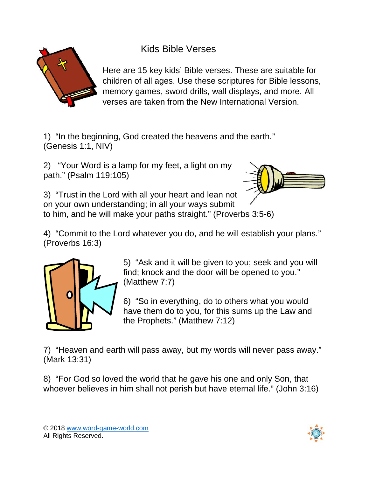

Kids Bible Verses

Here are 15 key kids' Bible verses. These are suitable for children of all ages. Use these scriptures for Bible lessons, memory games, sword drills, wall displays, and more. All verses are taken from the New International Version.

1) "In the beginning, God created the heavens and the earth." (Genesis 1:1, NIV)

2) "Your Word is a lamp for my feet, a light on my path." (Psalm 119:105)



3) "Trust in the Lord with all your heart and lean not on your own understanding; in all your ways submit to him, and he will make your paths straight." (Proverbs 3:5-6)

4) "Commit to the Lord whatever you do, and he will establish your plans." (Proverbs 16:3)



5) "Ask and it will be given to you; seek and you will find; knock and the door will be opened to you." (Matthew 7:7)

6) "So in everything, do to others what you would have them do to you, for this sums up the Law and the Prophets." (Matthew 7:12)

7) "Heaven and earth will pass away, but my words will never pass away." (Mark 13:31)

8) "For God so loved the world that he gave his one and only Son, that whoever believes in him shall not perish but have eternal life." (John 3:16)